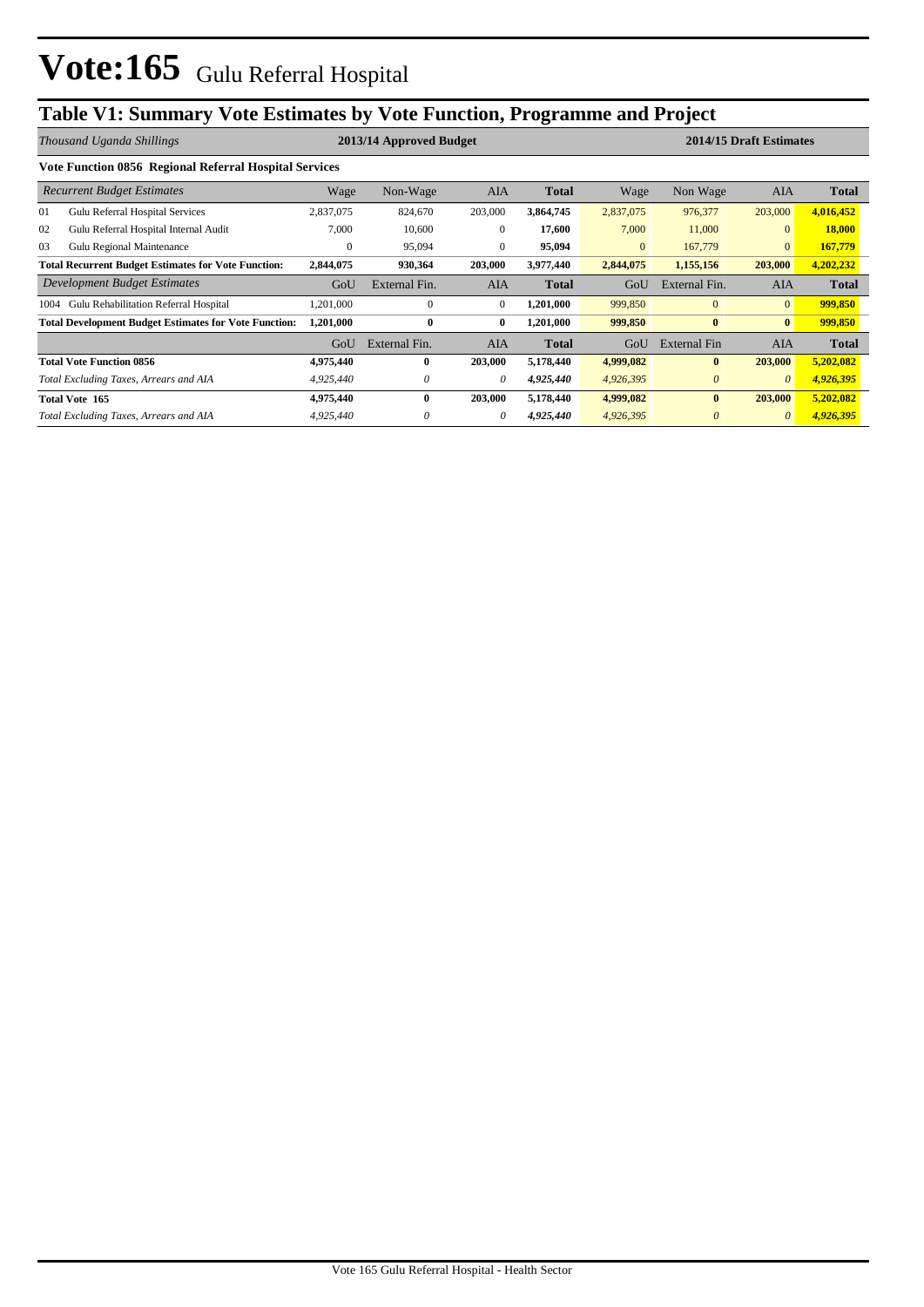# **Table V1: Summary Vote Estimates by Vote Function, Programme and Project**

| Thousand Uganda Shillings |                                                              |              | 2013/14 Approved Budget |              |              | 2014/15 Draft Estimates |                     |                |              |  |  |  |  |  |
|---------------------------|--------------------------------------------------------------|--------------|-------------------------|--------------|--------------|-------------------------|---------------------|----------------|--------------|--|--|--|--|--|
|                           | Vote Function 0856 Regional Referral Hospital Services       |              |                         |              |              |                         |                     |                |              |  |  |  |  |  |
|                           | <b>Recurrent Budget Estimates</b>                            | Wage         | Non-Wage                | <b>AIA</b>   | <b>Total</b> | Wage                    | Non Wage            | <b>AIA</b>     | Total        |  |  |  |  |  |
| 01                        | Gulu Referral Hospital Services                              | 2,837,075    | 824,670                 | 203,000      | 3,864,745    | 2,837,075               | 976,377             | 203,000        | 4,016,452    |  |  |  |  |  |
| 02                        | Gulu Referral Hospital Internal Audit                        | 7,000        | 10,600                  | $\mathbf{0}$ | 17,600       | 7,000                   | 11,000              | $\mathbf{0}$   | 18,000       |  |  |  |  |  |
| 03                        | Gulu Regional Maintenance                                    | $\mathbf{0}$ | 95,094                  | $\Omega$     | 95,094       | $\mathbf{0}$            | 167,779             | $\overline{0}$ | 167,779      |  |  |  |  |  |
|                           | <b>Total Recurrent Budget Estimates for Vote Function:</b>   | 2,844,075    | 930,364                 | 203,000      | 3,977,440    | 2,844,075               | 1,155,156           | 203,000        | 4,202,232    |  |  |  |  |  |
|                           | Development Budget Estimates                                 | GoU          | External Fin.           | <b>AIA</b>   | <b>Total</b> | GoU                     | External Fin.       | <b>AIA</b>     | Total        |  |  |  |  |  |
| 1004                      | Gulu Rehabilitation Referral Hospital                        | ,201,000     | $\mathbf{0}$            | $\mathbf{0}$ | 1,201,000    | 999,850                 | $\mathbf{0}$        | $\overline{0}$ | 999,850      |  |  |  |  |  |
|                           | <b>Total Development Budget Estimates for Vote Function:</b> | 1,201,000    | $\bf{0}$                | $\bf{0}$     | 1,201,000    | 999,850                 | $\bf{0}$            | $\bf{0}$       | 999,850      |  |  |  |  |  |
|                           |                                                              | GoU          | External Fin.           | <b>AIA</b>   | <b>Total</b> | GoU                     | <b>External Fin</b> | <b>AIA</b>     | <b>Total</b> |  |  |  |  |  |
|                           | <b>Total Vote Function 0856</b>                              | 4,975,440    | 0                       | 203,000      | 5,178,440    | 4,999,082               | $\bf{0}$            | 203,000        | 5,202,082    |  |  |  |  |  |
|                           | Total Excluding Taxes, Arrears and AIA                       | 4,925,440    | 0                       | $\theta$     | 4,925,440    | 4,926,395               | $\theta$            | $\theta$       | 4,926,395    |  |  |  |  |  |
|                           | Total Vote 165                                               | 4,975,440    | $\bf{0}$                | 203,000      | 5,178,440    | 4,999,082               | $\bf{0}$            | 203,000        | 5,202,082    |  |  |  |  |  |
|                           | Total Excluding Taxes, Arrears and AIA                       | 4,925,440    | 0                       | 0            | 4,925,440    | 4,926,395               | $\theta$            | $\theta$       | 4,926,395    |  |  |  |  |  |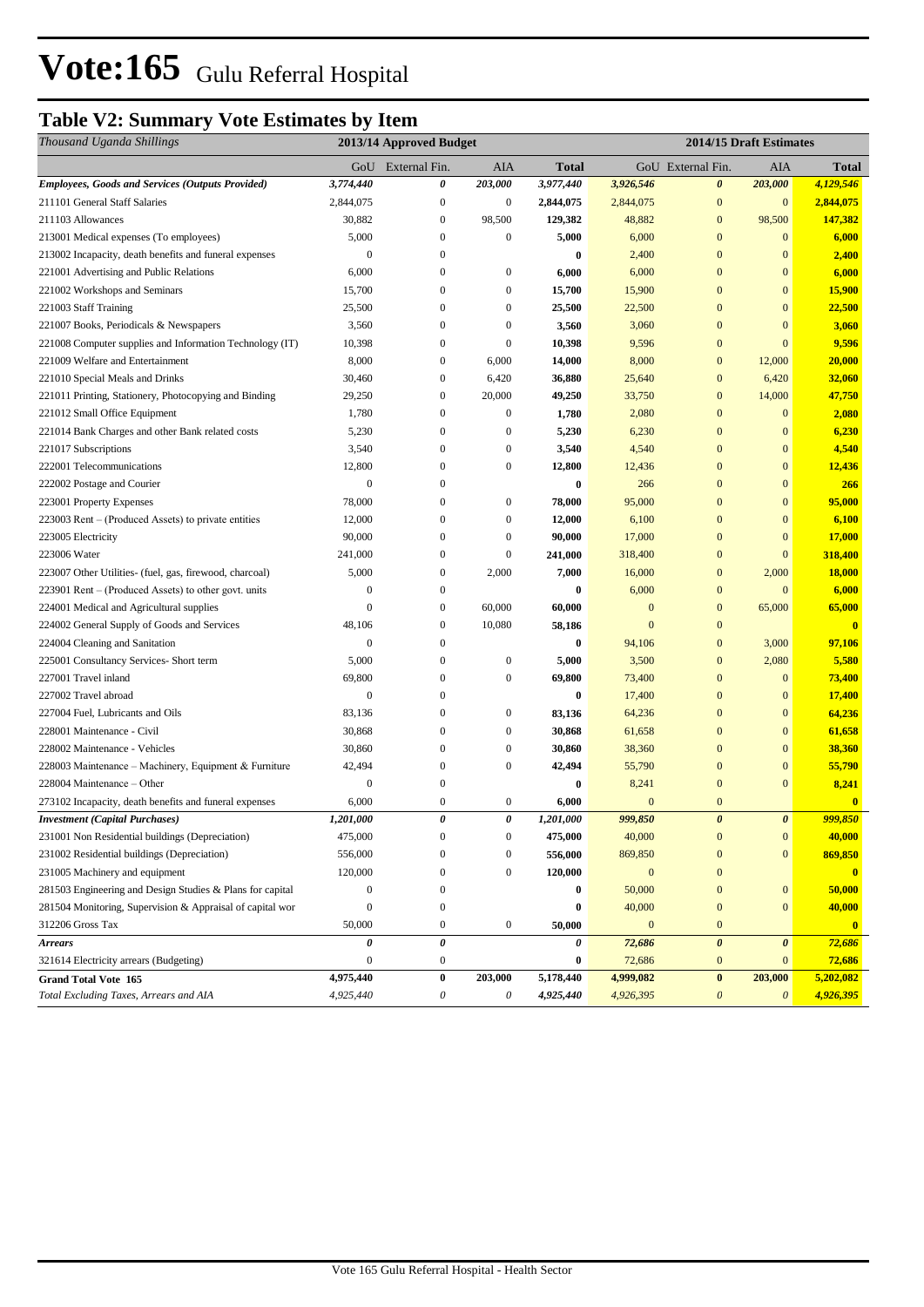# **Table V2: Summary Vote Estimates by Item**

| Thousand Uganda Shillings                                 | 2013/14 Approved Budget |                   |                  |           | 2014/15 Draft Estimates |                       |                       |               |  |
|-----------------------------------------------------------|-------------------------|-------------------|------------------|-----------|-------------------------|-----------------------|-----------------------|---------------|--|
|                                                           |                         | GoU External Fin. | AIA              | Total     |                         | GoU External Fin.     | AIA                   | <b>Total</b>  |  |
| <b>Employees, Goods and Services (Outputs Provided)</b>   | 3,774,440               | 0                 | 203,000          | 3,977,440 | 3,926,546               | $\boldsymbol{\theta}$ | 203,000               | 4,129,546     |  |
| 211101 General Staff Salaries                             | 2,844,075               | $\mathbf{0}$      | $\boldsymbol{0}$ | 2,844,075 | 2,844,075               | $\mathbf{0}$          | $\mathbf{0}$          | 2,844,075     |  |
| 211103 Allowances                                         | 30,882                  | $\boldsymbol{0}$  | 98,500           | 129,382   | 48,882                  | $\mathbf{0}$          | 98,500                | 147,382       |  |
| 213001 Medical expenses (To employees)                    | 5,000                   | $\mathbf{0}$      | $\boldsymbol{0}$ | 5,000     | 6,000                   | $\mathbf{0}$          | $\mathbf{0}$          | 6,000         |  |
| 213002 Incapacity, death benefits and funeral expenses    | $\mathbf{0}$            | $\mathbf{0}$      |                  | 0         | 2,400                   | $\bf{0}$              | $\mathbf{0}$          | 2,400         |  |
| 221001 Advertising and Public Relations                   | 6,000                   | $\mathbf{0}$      | $\boldsymbol{0}$ | 6,000     | 6,000                   | $\mathbf{0}$          | $\mathbf{0}$          | 6,000         |  |
| 221002 Workshops and Seminars                             | 15,700                  | $\mathbf{0}$      | $\boldsymbol{0}$ | 15,700    | 15,900                  | $\mathbf{0}$          | $\mathbf{0}$          | 15,900        |  |
| 221003 Staff Training                                     | 25,500                  | $\mathbf{0}$      | $\boldsymbol{0}$ | 25,500    | 22,500                  | $\mathbf{0}$          | $\mathbf{0}$          | 22,500        |  |
| 221007 Books, Periodicals & Newspapers                    | 3,560                   | $\mathbf{0}$      | $\boldsymbol{0}$ | 3,560     | 3,060                   | $\bf{0}$              | $\mathbf{0}$          | 3,060         |  |
| 221008 Computer supplies and Information Technology (IT)  | 10,398                  | $\boldsymbol{0}$  | $\boldsymbol{0}$ | 10,398    | 9,596                   | $\bf{0}$              | $\overline{0}$        | 9,596         |  |
| 221009 Welfare and Entertainment                          | 8,000                   | $\mathbf{0}$      | 6,000            | 14,000    | 8,000                   | $\mathbf{0}$          | 12,000                | 20,000        |  |
| 221010 Special Meals and Drinks                           | 30,460                  | $\boldsymbol{0}$  | 6,420            | 36,880    | 25,640                  | $\mathbf{0}$          | 6,420                 | 32,060        |  |
| 221011 Printing, Stationery, Photocopying and Binding     | 29,250                  | $\mathbf{0}$      | 20,000           | 49,250    | 33,750                  | $\mathbf{0}$          | 14,000                | 47,750        |  |
| 221012 Small Office Equipment                             | 1,780                   | $\mathbf{0}$      | $\boldsymbol{0}$ | 1,780     | 2,080                   | $\bf{0}$              | $\mathbf{0}$          | 2,080         |  |
| 221014 Bank Charges and other Bank related costs          | 5,230                   | $\mathbf{0}$      | $\boldsymbol{0}$ | 5,230     | 6,230                   | $\bf{0}$              | $\mathbf{0}$          | 6,230         |  |
| 221017 Subscriptions                                      | 3,540                   | $\mathbf{0}$      | $\boldsymbol{0}$ | 3,540     | 4,540                   | $\mathbf{0}$          | $\mathbf{0}$          | 4,540         |  |
| 222001 Telecommunications                                 | 12,800                  | $\mathbf{0}$      | $\boldsymbol{0}$ | 12,800    | 12,436                  | $\mathbf{0}$          | $\mathbf{0}$          | 12,436        |  |
| 222002 Postage and Courier                                | $\mathbf{0}$            | $\boldsymbol{0}$  |                  | $\bf{0}$  | 266                     | $\mathbf{0}$          | $\mathbf{0}$          | 266           |  |
| 223001 Property Expenses                                  | 78,000                  | $\boldsymbol{0}$  | $\boldsymbol{0}$ | 78,000    | 95,000                  | $\bf{0}$              | $\mathbf{0}$          | 95,000        |  |
| 223003 Rent – (Produced Assets) to private entities       | 12,000                  | $\boldsymbol{0}$  | $\boldsymbol{0}$ | 12,000    | 6,100                   | $\bf{0}$              | $\mathbf{0}$          | 6,100         |  |
| 223005 Electricity                                        | 90,000                  | $\boldsymbol{0}$  | $\boldsymbol{0}$ | 90,000    | 17,000                  | $\bf{0}$              | $\mathbf{0}$          | 17,000        |  |
| 223006 Water                                              | 241,000                 | $\boldsymbol{0}$  | $\boldsymbol{0}$ | 241,000   | 318,400                 | $\mathbf{0}$          | $\overline{0}$        | 318,400       |  |
| 223007 Other Utilities- (fuel, gas, firewood, charcoal)   | 5,000                   | $\mathbf{0}$      | 2,000            | 7,000     | 16,000                  | $\mathbf{0}$          | 2,000                 | <b>18,000</b> |  |
| 223901 Rent – (Produced Assets) to other govt. units      | $\mathbf{0}$            | $\boldsymbol{0}$  |                  | 0         | 6,000                   | $\mathbf{0}$          | $\overline{0}$        | 6,000         |  |
| 224001 Medical and Agricultural supplies                  | $\Omega$                | $\mathbf{0}$      | 60,000           | 60,000    | $\mathbf{0}$            | $\mathbf{0}$          | 65,000                | 65,000        |  |
| 224002 General Supply of Goods and Services               | 48,106                  | $\mathbf{0}$      | 10,080           | 58,186    | $\mathbf{0}$            | $\mathbf{0}$          |                       | $\bf{0}$      |  |
| 224004 Cleaning and Sanitation                            | $\mathbf{0}$            | $\boldsymbol{0}$  |                  | $\bf{0}$  | 94,106                  | $\mathbf{0}$          | 3,000                 | 97,106        |  |
| 225001 Consultancy Services- Short term                   | 5,000                   | $\mathbf{0}$      | $\boldsymbol{0}$ | 5,000     | 3,500                   | $\bf{0}$              | 2,080                 | 5,580         |  |
| 227001 Travel inland                                      | 69,800                  | $\boldsymbol{0}$  | $\boldsymbol{0}$ | 69,800    | 73,400                  | $\bf{0}$              | $\mathbf{0}$          | 73,400        |  |
| 227002 Travel abroad                                      | $\theta$                | $\boldsymbol{0}$  |                  | $\bf{0}$  | 17,400                  | $\overline{0}$        | $\mathbf{0}$          | 17,400        |  |
| 227004 Fuel, Lubricants and Oils                          | 83,136                  | $\boldsymbol{0}$  | $\boldsymbol{0}$ | 83,136    | 64,236                  | $\mathbf{0}$          | $\mathbf{0}$          | 64,236        |  |
| 228001 Maintenance - Civil                                | 30,868                  | $\mathbf{0}$      | $\boldsymbol{0}$ | 30,868    | 61,658                  | $\overline{0}$        | $\mathbf{0}$          | 61,658        |  |
| 228002 Maintenance - Vehicles                             | 30,860                  | $\boldsymbol{0}$  | $\boldsymbol{0}$ | 30,860    | 38,360                  | $\bf{0}$              | $\mathbf{0}$          | 38,360        |  |
| 228003 Maintenance - Machinery, Equipment & Furniture     | 42,494                  | $\mathbf{0}$      | $\boldsymbol{0}$ | 42,494    | 55,790                  | $\mathbf{0}$          | $\mathbf{0}$          | 55,790        |  |
| 228004 Maintenance – Other                                | $\boldsymbol{0}$        | $\boldsymbol{0}$  |                  | 0         | 8,241                   | $\mathbf{0}$          | $\mathbf{0}$          | 8,241         |  |
| 273102 Incapacity, death benefits and funeral expenses    | 6,000                   | $\boldsymbol{0}$  | $\boldsymbol{0}$ | 6,000     | $\mathbf{0}$            | $\boldsymbol{0}$      |                       | $\bf{0}$      |  |
| <b>Investment</b> (Capital Purchases)                     | 1,201,000               | 0                 | $\theta$         | 1,201,000 | 999,850                 | $\boldsymbol{\theta}$ | $\boldsymbol{\theta}$ | 999.850       |  |
| 231001 Non Residential buildings (Depreciation)           | 475,000                 | $\boldsymbol{0}$  | $\boldsymbol{0}$ | 475,000   | 40,000                  | $\boldsymbol{0}$      | $\boldsymbol{0}$      | 40,000        |  |
| 231002 Residential buildings (Depreciation)               | 556,000                 | $\boldsymbol{0}$  | $\boldsymbol{0}$ | 556,000   | 869,850                 | $\bf{0}$              | $\mathbf{0}$          | 869,850       |  |
| 231005 Machinery and equipment                            | 120,000                 | $\boldsymbol{0}$  | $\boldsymbol{0}$ | 120,000   | $\boldsymbol{0}$        | $\mathbf{0}$          |                       | $\bf{0}$      |  |
| 281503 Engineering and Design Studies & Plans for capital | $\boldsymbol{0}$        | $\boldsymbol{0}$  |                  | 0         | 50,000                  | $\mathbf{0}$          | $\boldsymbol{0}$      | 50,000        |  |
| 281504 Monitoring, Supervision & Appraisal of capital wor | $\mathbf{0}$            | $\boldsymbol{0}$  |                  | 0         | 40,000                  | $\mathbf{0}$          | $\mathbf{0}$          | 40,000        |  |
| 312206 Gross Tax                                          | 50,000                  | $\boldsymbol{0}$  | $\boldsymbol{0}$ | 50,000    | $\mathbf{0}$            | $\boldsymbol{0}$      |                       | $\mathbf{0}$  |  |
| <b>Arrears</b>                                            | 0                       | $\pmb{\theta}$    |                  | 0         | 72,686                  | $\boldsymbol{\theta}$ | $\boldsymbol{\theta}$ | 72,686        |  |
| 321614 Electricity arrears (Budgeting)                    | $\boldsymbol{0}$        | $\boldsymbol{0}$  |                  | 0         | 72,686                  | $\bf{0}$              | $\bf{0}$              | 72,686        |  |
| <b>Grand Total Vote 165</b>                               | 4,975,440               | $\pmb{0}$         | 203,000          | 5,178,440 | 4,999,082               | $\pmb{0}$             | 203,000               | 5,202,082     |  |
| Total Excluding Taxes, Arrears and AIA                    | 4,925,440               | $\theta$          | 0                | 4,925,440 | 4,926,395               | $\boldsymbol{\theta}$ | $\boldsymbol{\theta}$ | 4,926,395     |  |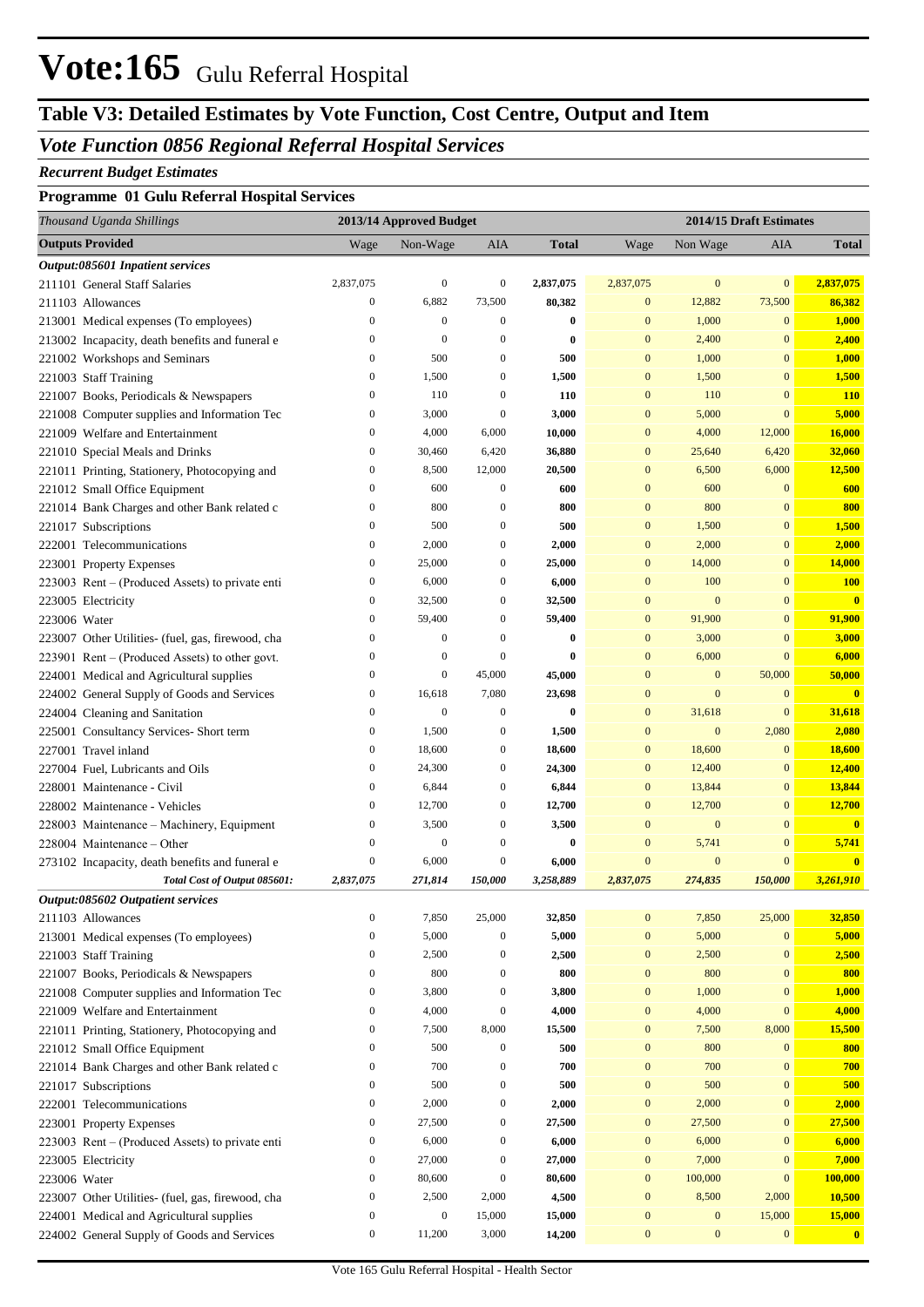# **Vote:165** Gulu Referral Hospital

# **Table V3: Detailed Estimates by Vote Function, Cost Centre, Output and Item**

## *Vote Function 0856 Regional Referral Hospital Services*

#### *Recurrent Budget Estimates*

## **Programme 01 Gulu Referral Hospital Services**

| Thousand Uganda Shillings                                            | 2013/14 Approved Budget |                  |                  |              | 2014/15 Draft Estimates |                  |                  |                         |  |
|----------------------------------------------------------------------|-------------------------|------------------|------------------|--------------|-------------------------|------------------|------------------|-------------------------|--|
| <b>Outputs Provided</b>                                              | Wage                    | Non-Wage         | AIA              | <b>Total</b> | Wage                    | Non Wage         | AIA              | <b>Total</b>            |  |
| Output:085601 Inpatient services                                     |                         |                  |                  |              |                         |                  |                  |                         |  |
| 211101 General Staff Salaries                                        | 2,837,075               | $\boldsymbol{0}$ | $\boldsymbol{0}$ | 2,837,075    | 2,837,075               | $\mathbf{0}$     | $\mathbf{0}$     | 2,837,075               |  |
| 211103 Allowances                                                    | $\boldsymbol{0}$        | 6,882            | 73,500           | 80,382       | $\mathbf{0}$            | 12,882           | 73,500           | 86,382                  |  |
| 213001 Medical expenses (To employees)                               | $\boldsymbol{0}$        | $\boldsymbol{0}$ | $\boldsymbol{0}$ | $\bf{0}$     | $\mathbf{0}$            | 1,000            | $\mathbf{0}$     | 1,000                   |  |
| 213002 Incapacity, death benefits and funeral e                      | $\boldsymbol{0}$        | $\boldsymbol{0}$ | $\boldsymbol{0}$ | $\bf{0}$     | $\mathbf{0}$            | 2,400            | $\bf{0}$         | 2,400                   |  |
| 221002 Workshops and Seminars                                        | $\boldsymbol{0}$        | 500              | $\boldsymbol{0}$ | 500          | $\mathbf{0}$            | 1,000            | $\bf{0}$         | 1,000                   |  |
| 221003 Staff Training                                                | $\boldsymbol{0}$        | 1,500            | $\boldsymbol{0}$ | 1,500        | $\mathbf{0}$            | 1,500            | $\mathbf{0}$     | 1,500                   |  |
| 221007 Books, Periodicals & Newspapers                               | $\boldsymbol{0}$        | 110              | $\boldsymbol{0}$ | 110          | $\mathbf{0}$            | 110              | $\bf{0}$         | <b>110</b>              |  |
| 221008 Computer supplies and Information Tec                         | $\boldsymbol{0}$        | 3,000            | $\boldsymbol{0}$ | 3,000        | $\mathbf{0}$            | 5,000            | $\overline{0}$   | 5,000                   |  |
| 221009 Welfare and Entertainment                                     | $\boldsymbol{0}$        | 4,000            | 6,000            | 10,000       | $\mathbf{0}$            | 4,000            | 12,000           | 16,000                  |  |
| 221010 Special Meals and Drinks                                      | $\boldsymbol{0}$        | 30,460           | 6,420            | 36,880       | $\mathbf{0}$            | 25,640           | 6,420            | 32,060                  |  |
| 221011 Printing, Stationery, Photocopying and                        | $\boldsymbol{0}$        | 8,500            | 12,000           | 20,500       | $\mathbf{0}$            | 6,500            | 6,000            | 12,500                  |  |
| 221012 Small Office Equipment                                        | $\boldsymbol{0}$        | 600              | $\boldsymbol{0}$ | 600          | $\mathbf{0}$            | 600              | $\mathbf{0}$     | 600                     |  |
| 221014 Bank Charges and other Bank related c                         | $\boldsymbol{0}$        | 800              | $\boldsymbol{0}$ | 800          | $\mathbf{0}$            | 800              | $\overline{0}$   | 800                     |  |
| 221017 Subscriptions                                                 | $\boldsymbol{0}$        | 500              | $\boldsymbol{0}$ | 500          | $\mathbf{0}$            | 1,500            | $\bf{0}$         | 1,500                   |  |
| 222001 Telecommunications                                            | $\boldsymbol{0}$        | 2,000            | $\boldsymbol{0}$ | 2,000        | $\mathbf{0}$            | 2,000            | $\bf{0}$         | 2,000                   |  |
| 223001 Property Expenses                                             | $\boldsymbol{0}$        | 25,000           | $\boldsymbol{0}$ | 25,000       | $\mathbf{0}$            | 14,000           | $\overline{0}$   | 14,000                  |  |
| 223003 Rent – (Produced Assets) to private enti                      | $\boldsymbol{0}$        | 6,000            | $\boldsymbol{0}$ | 6,000        | $\mathbf{0}$            | 100              | $\overline{0}$   | <b>100</b>              |  |
| 223005 Electricity                                                   | $\boldsymbol{0}$        | 32,500           | $\boldsymbol{0}$ | 32,500       | $\mathbf{0}$            | $\mathbf{0}$     | $\overline{0}$   | $\overline{\mathbf{0}}$ |  |
| 223006 Water                                                         | $\boldsymbol{0}$        | 59,400           | $\boldsymbol{0}$ | 59,400       | $\mathbf{0}$            | 91,900           | $\bf{0}$         | 91,900                  |  |
| 223007 Other Utilities- (fuel, gas, firewood, cha                    | $\boldsymbol{0}$        | $\boldsymbol{0}$ | $\boldsymbol{0}$ | $\bf{0}$     | $\mathbf{0}$            | 3,000            | $\overline{0}$   | 3,000                   |  |
| 223901 Rent – (Produced Assets) to other govt.                       | $\boldsymbol{0}$        | $\boldsymbol{0}$ | $\boldsymbol{0}$ | $\bf{0}$     | $\mathbf{0}$            | 6,000            | $\overline{0}$   | 6,000                   |  |
| 224001 Medical and Agricultural supplies                             | $\boldsymbol{0}$        | $\boldsymbol{0}$ | 45,000           | 45,000       | $\mathbf{0}$            | $\mathbf{0}$     | 50,000           | 50,000                  |  |
| 224002 General Supply of Goods and Services                          | $\boldsymbol{0}$        | 16,618           | 7,080            | 23,698       | $\mathbf{0}$            | $\overline{0}$   | $\mathbf{0}$     | $\overline{\mathbf{0}}$ |  |
| 224004 Cleaning and Sanitation                                       | $\boldsymbol{0}$        | $\boldsymbol{0}$ | $\boldsymbol{0}$ | $\bf{0}$     | $\mathbf{0}$            | 31,618           | $\mathbf{0}$     | 31,618                  |  |
| 225001 Consultancy Services- Short term                              | $\boldsymbol{0}$        | 1,500            | $\boldsymbol{0}$ | 1,500        | $\mathbf{0}$            | $\mathbf{0}$     | 2,080            | 2,080                   |  |
| 227001 Travel inland                                                 | $\boldsymbol{0}$        | 18,600           | $\boldsymbol{0}$ | 18,600       | $\mathbf{0}$            | 18,600           | $\mathbf{0}$     | 18,600                  |  |
| 227004 Fuel, Lubricants and Oils                                     | $\boldsymbol{0}$        | 24,300           | $\boldsymbol{0}$ | 24,300       | $\mathbf{0}$            | 12,400           | $\bf{0}$         | 12,400                  |  |
| 228001 Maintenance - Civil                                           | $\boldsymbol{0}$        | 6,844            | $\boldsymbol{0}$ | 6,844        | $\mathbf{0}$            | 13,844           | $\bf{0}$         | 13,844                  |  |
| 228002 Maintenance - Vehicles                                        | $\boldsymbol{0}$        | 12,700           | $\boldsymbol{0}$ | 12,700       | $\mathbf{0}$            | 12,700           | $\mathbf{0}$     | 12,700                  |  |
| 228003 Maintenance - Machinery, Equipment                            | $\boldsymbol{0}$        | 3,500            | $\boldsymbol{0}$ | 3,500        | $\mathbf{0}$            | $\boldsymbol{0}$ | $\overline{0}$   | $\mathbf{0}$            |  |
| 228004 Maintenance – Other                                           | $\boldsymbol{0}$        | $\boldsymbol{0}$ | $\boldsymbol{0}$ | $\bf{0}$     | $\mathbf{0}$            | 5,741            | $\overline{0}$   | 5,741                   |  |
| 273102 Incapacity, death benefits and funeral e                      | $\boldsymbol{0}$        | 6,000            | $\boldsymbol{0}$ | 6,000        | $\mathbf{0}$            | $\mathbf{0}$     | $\mathbf{0}$     | $\overline{\mathbf{0}}$ |  |
| Total Cost of Output 085601:                                         | 2,837,075               | 271,814          | 150,000          | 3,258,889    | 2,837,075               | 274,835          | 150,000          | 3,261,910               |  |
| <i><b>Output:085602 Outpatient services</b></i><br>211103 Allowances | $\boldsymbol{0}$        | 7,850            | 25,000           | 32,850       | $\boldsymbol{0}$        | 7,850            | 25,000           | 32,850                  |  |
| 213001 Medical expenses (To employees)                               | $\boldsymbol{0}$        | 5,000            | $\boldsymbol{0}$ | 5,000        | $\boldsymbol{0}$        | 5,000            | $\mathbf{0}$     | 5,000                   |  |
| 221003 Staff Training                                                | $\boldsymbol{0}$        | 2,500            | $\boldsymbol{0}$ | 2,500        | $\boldsymbol{0}$        | 2,500            | $\boldsymbol{0}$ | 2,500                   |  |
| 221007 Books, Periodicals & Newspapers                               | $\boldsymbol{0}$        | 800              | $\boldsymbol{0}$ | 800          | $\boldsymbol{0}$        | 800              | $\boldsymbol{0}$ | 800                     |  |
| 221008 Computer supplies and Information Tec                         | $\boldsymbol{0}$        | 3,800            | $\boldsymbol{0}$ | 3,800        | $\boldsymbol{0}$        | 1,000            | $\boldsymbol{0}$ | 1,000                   |  |
| 221009 Welfare and Entertainment                                     | $\boldsymbol{0}$        | 4,000            | $\boldsymbol{0}$ | 4,000        | $\boldsymbol{0}$        | 4,000            | $\mathbf{0}$     | 4,000                   |  |
| 221011 Printing, Stationery, Photocopying and                        | $\boldsymbol{0}$        | 7,500            | 8,000            | 15,500       | $\boldsymbol{0}$        | 7,500            | 8,000            | 15,500                  |  |
| 221012 Small Office Equipment                                        | $\boldsymbol{0}$        | 500              | $\boldsymbol{0}$ | 500          | $\boldsymbol{0}$        | 800              | $\mathbf{0}$     | 800                     |  |
| 221014 Bank Charges and other Bank related c                         | $\boldsymbol{0}$        | 700              | $\boldsymbol{0}$ | 700          | $\boldsymbol{0}$        | 700              | 0                | 700                     |  |
| 221017 Subscriptions                                                 | $\boldsymbol{0}$        | 500              | $\boldsymbol{0}$ | 500          | $\boldsymbol{0}$        | 500              | 0                | 500                     |  |
| 222001 Telecommunications                                            | $\boldsymbol{0}$        | 2,000            | $\boldsymbol{0}$ | 2,000        | $\boldsymbol{0}$        | 2,000            | $\boldsymbol{0}$ | 2,000                   |  |
| 223001 Property Expenses                                             | $\boldsymbol{0}$        | 27,500           | $\boldsymbol{0}$ | 27,500       | $\boldsymbol{0}$        | 27,500           | $\boldsymbol{0}$ | 27,500                  |  |
| 223003 Rent - (Produced Assets) to private enti                      | $\boldsymbol{0}$        | 6,000            | $\boldsymbol{0}$ | 6,000        | $\boldsymbol{0}$        | 6,000            | $\boldsymbol{0}$ | 6,000                   |  |
| 223005 Electricity                                                   | $\boldsymbol{0}$        | 27,000           | $\boldsymbol{0}$ | 27,000       | $\boldsymbol{0}$        | 7,000            | $\boldsymbol{0}$ | 7,000                   |  |
| 223006 Water                                                         | $\boldsymbol{0}$        | 80,600           | $\boldsymbol{0}$ | 80,600       | $\boldsymbol{0}$        | 100,000          | $\boldsymbol{0}$ | 100,000                 |  |
| 223007 Other Utilities- (fuel, gas, firewood, cha                    | $\boldsymbol{0}$        | 2,500            | 2,000            | 4,500        | $\boldsymbol{0}$        | 8,500            | 2,000            | 10,500                  |  |
| 224001 Medical and Agricultural supplies                             | $\boldsymbol{0}$        | $\boldsymbol{0}$ | 15,000           | 15,000       | $\boldsymbol{0}$        | $\boldsymbol{0}$ | 15,000           | 15,000                  |  |
| 224002 General Supply of Goods and Services                          | $\boldsymbol{0}$        | 11,200           | 3,000            | 14,200       | $\boldsymbol{0}$        | $\boldsymbol{0}$ | $\boldsymbol{0}$ | $\mathbf{0}$            |  |
|                                                                      |                         |                  |                  |              |                         |                  |                  |                         |  |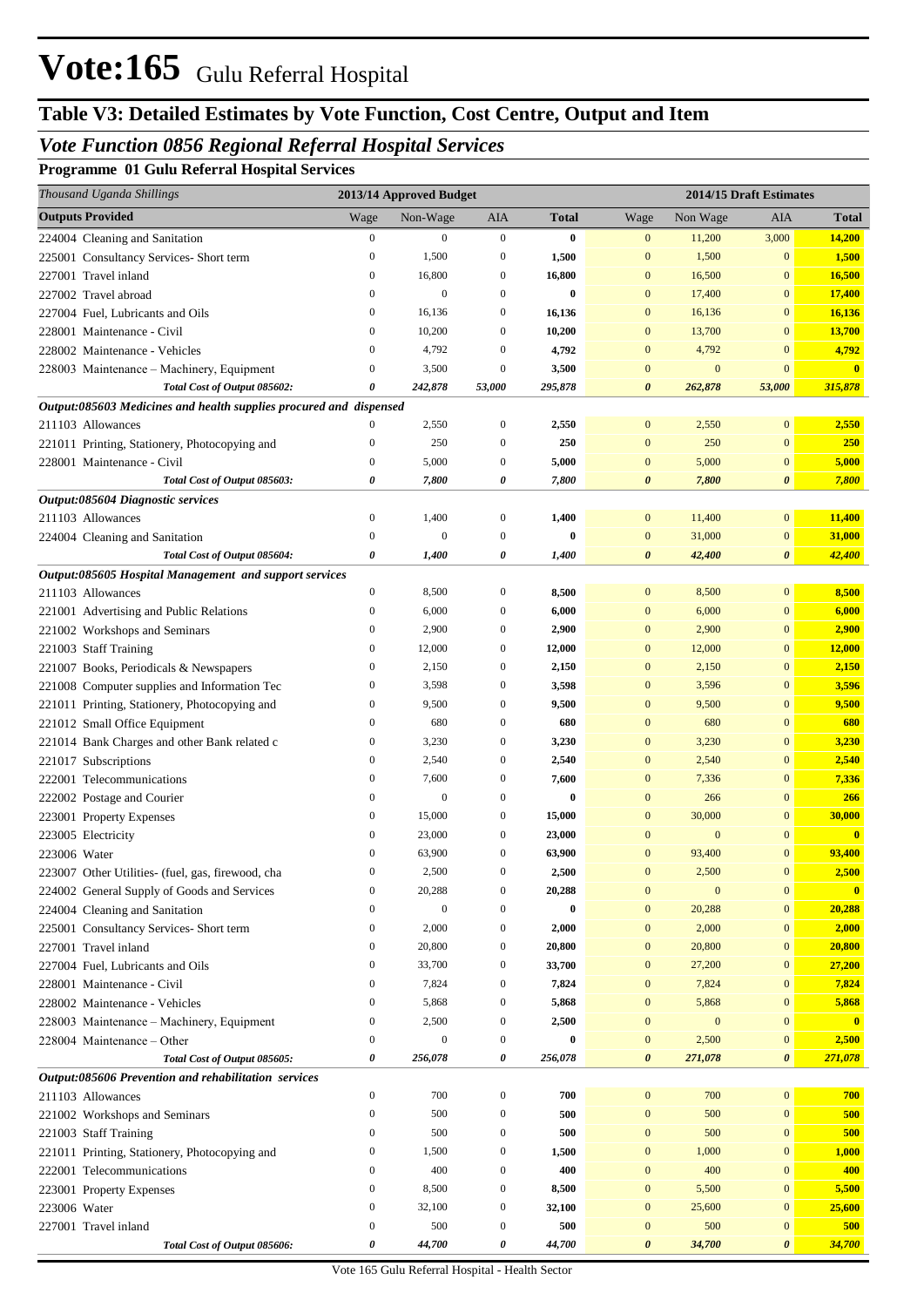## **Table V3: Detailed Estimates by Vote Function, Cost Centre, Output and Item**

## *Vote Function 0856 Regional Referral Hospital Services*

## **Programme 01 Gulu Referral Hospital Services**

| Thousand Uganda Shillings                                          |                  | 2013/14 Approved Budget |                  |              |                       |                  | 2014/15 Draft Estimates |                         |
|--------------------------------------------------------------------|------------------|-------------------------|------------------|--------------|-----------------------|------------------|-------------------------|-------------------------|
| <b>Outputs Provided</b>                                            | Wage             | Non-Wage                | AIA              | <b>Total</b> | Wage                  | Non Wage         | AIA                     | <b>Total</b>            |
| 224004 Cleaning and Sanitation                                     | $\boldsymbol{0}$ | $\mathbf{0}$            | $\mathbf{0}$     | $\bf{0}$     | $\mathbf{0}$          | 11,200           | 3,000                   | 14,200                  |
| 225001 Consultancy Services- Short term                            | $\boldsymbol{0}$ | 1,500                   | $\boldsymbol{0}$ | 1,500        | $\mathbf{0}$          | 1,500            | $\mathbf{0}$            | 1,500                   |
| 227001 Travel inland                                               | $\boldsymbol{0}$ | 16,800                  | 0                | 16,800       | $\mathbf{0}$          | 16,500           | $\mathbf{0}$            | 16,500                  |
| 227002 Travel abroad                                               | $\boldsymbol{0}$ | $\mathbf{0}$            | 0                | $\bf{0}$     | $\mathbf{0}$          | 17,400           | $\mathbf{0}$            | 17,400                  |
| 227004 Fuel, Lubricants and Oils                                   | $\boldsymbol{0}$ | 16,136                  | 0                | 16,136       | $\mathbf{0}$          | 16,136           | $\mathbf{0}$            | 16,136                  |
| 228001 Maintenance - Civil                                         | $\boldsymbol{0}$ | 10,200                  | $\mathbf{0}$     | 10,200       | $\mathbf{0}$          | 13,700           | $\mathbf{0}$            | 13,700                  |
| 228002 Maintenance - Vehicles                                      | $\mathbf{0}$     | 4,792                   | $\boldsymbol{0}$ | 4,792        | $\mathbf{0}$          | 4,792            | $\mathbf{0}$            | 4,792                   |
| 228003 Maintenance - Machinery, Equipment                          | $\boldsymbol{0}$ | 3,500                   | $\boldsymbol{0}$ | 3,500        | $\mathbf{0}$          | $\bf{0}$         | $\mathbf{0}$            | $\mathbf{0}$            |
| Total Cost of Output 085602:                                       | 0                | 242,878                 | 53,000           | 295,878      | $\boldsymbol{\theta}$ | 262,878          | 53,000                  | 315,878                 |
| Output:085603 Medicines and health supplies procured and dispensed |                  |                         |                  |              |                       |                  |                         |                         |
| 211103 Allowances                                                  | $\mathbf{0}$     | 2,550                   | $\boldsymbol{0}$ | 2,550        | $\mathbf{0}$          | 2,550            | $\mathbf{0}$            | 2,550                   |
| 221011 Printing, Stationery, Photocopying and                      | $\boldsymbol{0}$ | 250                     | $\boldsymbol{0}$ | 250          | $\mathbf{0}$          | 250              | $\mathbf{0}$            | 250                     |
| 228001 Maintenance - Civil                                         | $\boldsymbol{0}$ | 5,000                   | $\boldsymbol{0}$ | 5,000        | $\mathbf{0}$          | 5,000            | $\boldsymbol{0}$        | 5,000                   |
| Total Cost of Output 085603:                                       | 0                | 7,800                   | 0                | 7,800        | 0                     | 7,800            | $\boldsymbol{\theta}$   | 7,800                   |
| Output:085604 Diagnostic services                                  |                  |                         |                  |              |                       |                  |                         |                         |
| 211103 Allowances                                                  | $\boldsymbol{0}$ | 1,400                   | $\boldsymbol{0}$ | 1,400        | $\mathbf{0}$          | 11,400           | $\boldsymbol{0}$        | 11,400                  |
| 224004 Cleaning and Sanitation                                     | $\boldsymbol{0}$ | $\mathbf{0}$            | $\boldsymbol{0}$ | $\bf{0}$     | $\mathbf{0}$          | 31,000           | $\mathbf{0}$            | 31,000                  |
| Total Cost of Output 085604:                                       | 0                | 1,400                   | 0                | 1,400        | $\boldsymbol{\theta}$ | 42,400           | $\boldsymbol{\theta}$   | 42,400                  |
| Output:085605 Hospital Management and support services             |                  |                         |                  |              |                       |                  |                         |                         |
| 211103 Allowances                                                  | $\boldsymbol{0}$ | 8,500                   | $\boldsymbol{0}$ | 8,500        | $\mathbf{0}$          | 8,500            | $\boldsymbol{0}$        | 8,500                   |
| 221001 Advertising and Public Relations                            | $\boldsymbol{0}$ | 6,000                   | $\boldsymbol{0}$ | 6,000        | $\mathbf{0}$          | 6,000            | $\mathbf{0}$            | 6,000                   |
| 221002 Workshops and Seminars                                      | $\boldsymbol{0}$ | 2,900                   | $\boldsymbol{0}$ | 2,900        | $\mathbf{0}$          | 2,900            | $\boldsymbol{0}$        | 2,900                   |
| 221003 Staff Training                                              | $\boldsymbol{0}$ | 12,000                  | $\boldsymbol{0}$ | 12,000       | $\mathbf{0}$          | 12,000           | $\mathbf{0}$            | 12,000                  |
| 221007 Books, Periodicals & Newspapers                             | $\boldsymbol{0}$ | 2,150                   | $\boldsymbol{0}$ | 2,150        | $\mathbf{0}$          | 2,150            | $\mathbf{0}$            | 2,150                   |
| 221008 Computer supplies and Information Tec                       | $\boldsymbol{0}$ | 3,598                   | $\boldsymbol{0}$ | 3,598        | $\mathbf{0}$          | 3,596            | $\mathbf{0}$            | 3,596                   |
| 221011 Printing, Stationery, Photocopying and                      | $\boldsymbol{0}$ | 9,500                   | $\boldsymbol{0}$ | 9,500        | $\mathbf{0}$          | 9,500            | $\mathbf{0}$            | 9,500                   |
| 221012 Small Office Equipment                                      | $\boldsymbol{0}$ | 680                     | $\boldsymbol{0}$ | 680          | $\mathbf{0}$          | 680              | $\mathbf{0}$            | 680                     |
| 221014 Bank Charges and other Bank related c                       | $\boldsymbol{0}$ | 3,230                   | $\boldsymbol{0}$ | 3,230        | $\mathbf{0}$          | 3,230            | $\mathbf{0}$            | 3,230                   |
| 221017 Subscriptions                                               | $\boldsymbol{0}$ | 2,540                   | $\boldsymbol{0}$ | 2,540        | $\mathbf{0}$          | 2,540            | $\mathbf{0}$            | 2,540                   |
| 222001 Telecommunications                                          | $\boldsymbol{0}$ | 7,600                   | $\boldsymbol{0}$ | 7,600        | $\mathbf{0}$          | 7,336            | $\mathbf{0}$            | 7,336                   |
| 222002 Postage and Courier                                         | $\boldsymbol{0}$ | $\mathbf{0}$            | $\boldsymbol{0}$ | $\bf{0}$     | $\mathbf{0}$          | 266              | $\mathbf{0}$            | 266                     |
| 223001 Property Expenses                                           | $\boldsymbol{0}$ | 15,000                  | $\boldsymbol{0}$ | 15,000       | $\mathbf{0}$          | 30,000           | $\mathbf{0}$            | 30,000                  |
| 223005 Electricity                                                 | $\mathbf{0}$     | 23,000                  | $\boldsymbol{0}$ | 23,000       | $\mathbf{0}$          | $\boldsymbol{0}$ | $\mathbf{0}$            | $\overline{\mathbf{0}}$ |
| 223006 Water                                                       | $\mathbf{0}$     | 63,900                  | $\boldsymbol{0}$ | 63,900       | $\mathbf{0}$          | 93,400           | $\boldsymbol{0}$        | 93,400                  |
| 223007 Other Utilities- (fuel, gas, firewood, cha                  | $\Omega$         | 2,500                   | $\Omega$         | 2.500        | $\Omega$              | 2,500            | $\boldsymbol{0}$        | 2,500                   |
| 224002 General Supply of Goods and Services                        | $\boldsymbol{0}$ | 20,288                  | $\boldsymbol{0}$ | 20,288       | $\boldsymbol{0}$      | $\boldsymbol{0}$ | $\boldsymbol{0}$        | $\mathbf{0}$            |
| 224004 Cleaning and Sanitation                                     | $\mathbf{0}$     | $\boldsymbol{0}$        | 0                | $\bf{0}$     | $\mathbf{0}$          | 20,288           | $\boldsymbol{0}$        | 20,288                  |
| 225001 Consultancy Services- Short term                            | $\boldsymbol{0}$ | 2,000                   | $\boldsymbol{0}$ | 2,000        | $\bf{0}$              | 2,000            | $\boldsymbol{0}$        | 2,000                   |
| 227001 Travel inland                                               | $\boldsymbol{0}$ | 20,800                  | 0                | 20,800       | $\mathbf{0}$          | 20,800           | $\mathbf{0}$            | 20,800                  |
| 227004 Fuel, Lubricants and Oils                                   | $\mathbf{0}$     | 33,700                  | $\boldsymbol{0}$ | 33,700       | $\mathbf{0}$          | 27,200           | $\mathbf{0}$            | 27,200                  |
| 228001 Maintenance - Civil                                         | $\boldsymbol{0}$ | 7,824                   | 0                | 7,824        | $\mathbf{0}$          | 7,824            | $\mathbf{0}$            | 7,824                   |
| 228002 Maintenance - Vehicles                                      | $\boldsymbol{0}$ | 5,868                   | $\boldsymbol{0}$ | 5,868        | $\bf{0}$              | 5,868            | $\boldsymbol{0}$        | 5,868                   |
| 228003 Maintenance - Machinery, Equipment                          | $\boldsymbol{0}$ | 2,500                   | 0                | 2,500        | $\mathbf{0}$          | $\boldsymbol{0}$ | $\mathbf{0}$            | $\mathbf{0}$            |
| 228004 Maintenance – Other                                         | $\boldsymbol{0}$ | $\boldsymbol{0}$        | $\boldsymbol{0}$ | $\bf{0}$     | $\boldsymbol{0}$      | 2,500            | $\boldsymbol{0}$        | 2,500                   |
| Total Cost of Output 085605:                                       | 0                | 256,078                 | 0                | 256,078      | 0                     | 271,078          | $\pmb{\theta}$          | 271,078                 |
| Output:085606 Prevention and rehabilitation services               |                  |                         |                  |              |                       |                  |                         |                         |
| 211103 Allowances                                                  | $\boldsymbol{0}$ | 700                     | $\boldsymbol{0}$ | 700          | $\boldsymbol{0}$      | 700              | $\boldsymbol{0}$        | 700                     |
| 221002 Workshops and Seminars                                      | $\boldsymbol{0}$ | 500                     | $\boldsymbol{0}$ | 500          | $\boldsymbol{0}$      | 500              | $\mathbf{0}$            | 500                     |
| 221003 Staff Training                                              | $\boldsymbol{0}$ | 500                     | $\boldsymbol{0}$ | 500          | $\bf{0}$              | 500              | $\mathbf{0}$            | 500                     |
| 221011 Printing, Stationery, Photocopying and                      | $\boldsymbol{0}$ | 1,500                   | $\boldsymbol{0}$ | 1,500        | $\mathbf{0}$          | 1,000            | $\bf{0}$                | 1,000                   |
| 222001 Telecommunications                                          | $\boldsymbol{0}$ | 400                     | $\boldsymbol{0}$ | 400          | $\mathbf{0}$          | 400              | $\mathbf{0}$            | 400                     |
| 223001 Property Expenses                                           | $\boldsymbol{0}$ | 8,500                   | $\boldsymbol{0}$ | 8,500        | $\mathbf{0}$          | 5,500            | $\bf{0}$                | 5,500                   |
| 223006 Water                                                       | $\boldsymbol{0}$ | 32,100                  | $\boldsymbol{0}$ | 32,100       | $\boldsymbol{0}$      | 25,600           | $\bf{0}$                | 25,600                  |
| 227001 Travel inland                                               | $\boldsymbol{0}$ | 500                     | $\boldsymbol{0}$ | 500          | $\mathbf{0}$          | 500              | $\boldsymbol{0}$        | 500                     |
| Total Cost of Output 085606:                                       | 0                | 44,700                  | 0                | 44,700       | 0                     | 34,700           | 0                       | 34,700                  |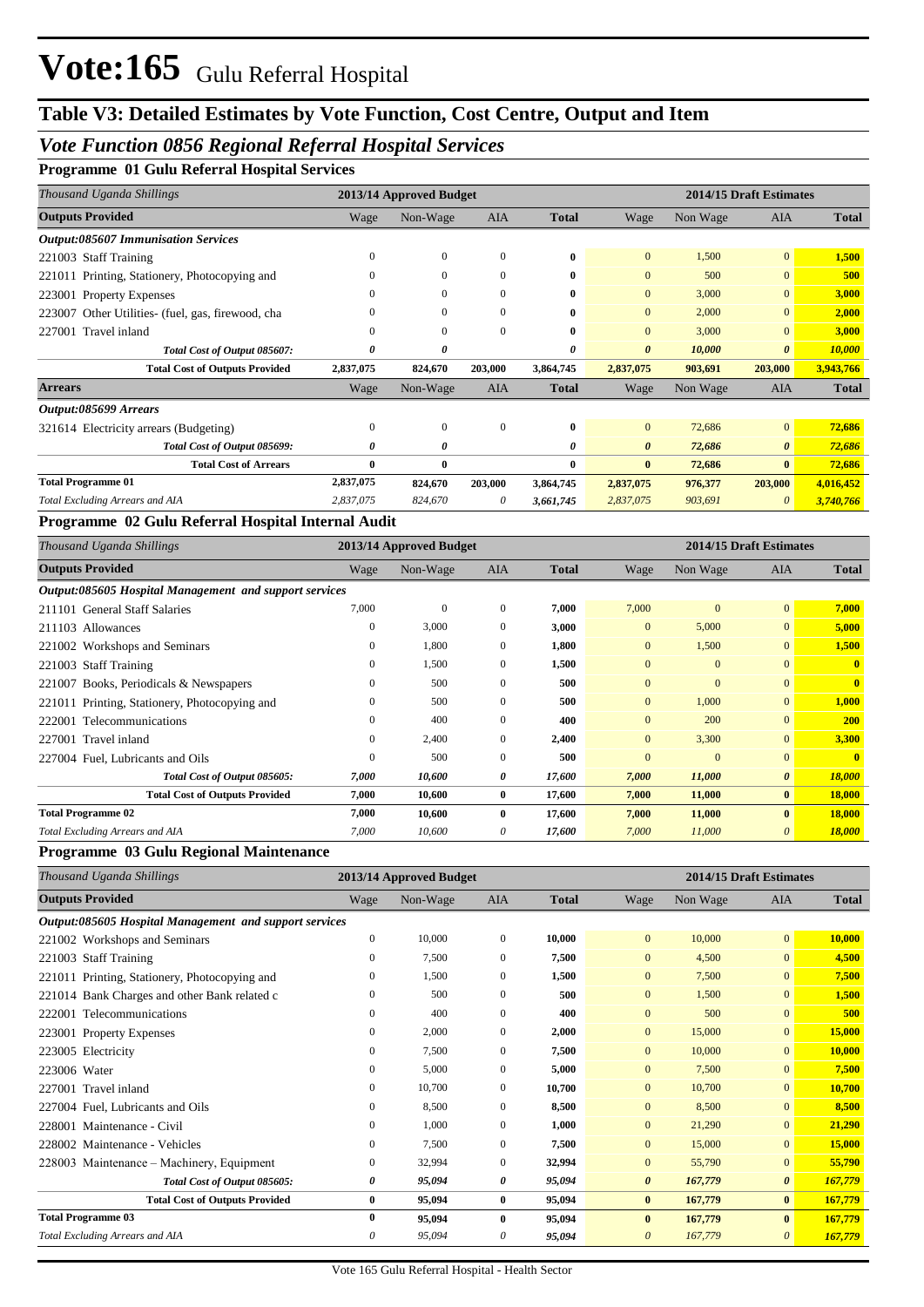## **Table V3: Detailed Estimates by Vote Function, Cost Centre, Output and Item**

## *Vote Function 0856 Regional Referral Hospital Services*

## **Programme 01 Gulu Referral Hospital Services**

|           |                |              |                         | 2014/15 Draft Estimates |          |                |              |  |
|-----------|----------------|--------------|-------------------------|-------------------------|----------|----------------|--------------|--|
| Wage      | Non-Wage       | AIA          | <b>Total</b>            | Wage                    | Non Wage | <b>AIA</b>     | <b>Total</b> |  |
|           |                |              |                         |                         |          |                |              |  |
| 0         | $\overline{0}$ | $\mathbf{0}$ | $\bf{0}$                | $\mathbf{0}$            | 1,500    | $\overline{0}$ | 1,500        |  |
| 0         | $\mathbf{0}$   | $\mathbf{0}$ | 0                       | $\mathbf{0}$            | 500      | $\overline{0}$ | 500          |  |
| 0         | $\mathbf{0}$   | $\Omega$     | 0                       | $\mathbf{0}$            | 3,000    | $\overline{0}$ | 3,000        |  |
| 0         | $\mathbf{0}$   | $\Omega$     | $\mathbf{0}$            | $\mathbf{0}$            | 2,000    | $\overline{0}$ | 2,000        |  |
| 0         | $\mathbf{0}$   | $\mathbf{0}$ | $\bf{0}$                | $\mathbf{0}$            | 3,000    | $\overline{0}$ | 3,000        |  |
| 0         | 0              |              | 0                       | $\boldsymbol{\theta}$   | 10,000   | $\theta$       | 10,000       |  |
| 2,837,075 | 824,670        | 203,000      | 3,864,745               | 2,837,075               | 903,691  | 203,000        | 3,943,766    |  |
| Wage      | Non-Wage       | AIA          | <b>Total</b>            | Wage                    | Non Wage | <b>AIA</b>     | <b>Total</b> |  |
|           |                |              |                         |                         |          |                |              |  |
| 0         | $\bf{0}$       | $\mathbf{0}$ | $\bf{0}$                | $\mathbf{0}$            | 72,686   | $\overline{0}$ | 72,686       |  |
| 0         | 0              |              | 0                       | $\boldsymbol{\theta}$   | 72,686   | $\theta$       | 72,686       |  |
| 0         | $\bf{0}$       |              | 0                       | $\bf{0}$                | 72,686   | $\mathbf{0}$   | 72,686       |  |
| 2,837,075 | 824,670        | 203,000      | 3,864,745               | 2,837,075               | 976,377  | 203,000        | 4,016,452    |  |
| 2,837,075 | 824,670        | $\theta$     | 3,661,745               | 2,837,075               | 903,691  | $\theta$       | 3,740,766    |  |
|           |                |              | 2013/14 Approved Budget |                         |          |                |              |  |

## **Programme 02 Gulu Referral Hospital Internal Audit**

| Thousand Uganda Shillings                              | 2013/14 Approved Budget |              |              |              | 2014/15 Draft Estimates |              |                       |              |  |
|--------------------------------------------------------|-------------------------|--------------|--------------|--------------|-------------------------|--------------|-----------------------|--------------|--|
| <b>Outputs Provided</b>                                | Wage                    | Non-Wage     | <b>AIA</b>   | <b>Total</b> | Wage                    | Non Wage     | <b>AIA</b>            | <b>Total</b> |  |
| Output:085605 Hospital Management and support services |                         |              |              |              |                         |              |                       |              |  |
| 211101 General Staff Salaries                          | 7,000                   | $\mathbf{0}$ | $\mathbf{0}$ | 7,000        | 7,000                   | $\mathbf{0}$ | $\overline{0}$        | 7,000        |  |
| 211103 Allowances                                      | 0                       | 3,000        | $\mathbf{0}$ | 3,000        | $\overline{0}$          | 5,000        | $\overline{0}$        | 5,000        |  |
| 221002 Workshops and Seminars                          | $\Omega$                | 1,800        | $\mathbf{0}$ | 1,800        | $\overline{0}$          | 1,500        | $\overline{0}$        | 1,500        |  |
| 221003 Staff Training                                  | $_{0}$                  | 1,500        | $\mathbf{0}$ | 1,500        | $\overline{0}$          | $\mathbf{0}$ | $\overline{0}$        | $\mathbf{0}$ |  |
| 221007 Books, Periodicals & Newspapers                 | $\Omega$                | 500          | $\Omega$     | 500          | $\mathbf{0}$            | $\mathbf{0}$ | $\overline{0}$        | $\mathbf{0}$ |  |
| 221011 Printing, Stationery, Photocopying and          | 0                       | 500          | $\mathbf{0}$ | 500          | $\overline{0}$          | 1,000        | $\overline{0}$        | 1,000        |  |
| 222001 Telecommunications                              | $\Omega$                | 400          | $\Omega$     | 400          | $\overline{0}$          | 200          | $\overline{0}$        | <b>200</b>   |  |
| 227001 Travel inland                                   | 0                       | 2,400        | $\mathbf{0}$ | 2,400        | $\overline{0}$          | 3,300        | $\overline{0}$        | 3,300        |  |
| 227004 Fuel. Lubricants and Oils                       | $\Omega$                | 500          | $\Omega$     | 500          | $\Omega$                | $\Omega$     | $\overline{0}$        | $\mathbf{0}$ |  |
| Total Cost of Output 085605:                           | 7,000                   | 10,600       | 0            | 17,600       | 7,000                   | 11,000       | $\boldsymbol{\theta}$ | 18,000       |  |
| <b>Total Cost of Outputs Provided</b>                  | 7,000                   | 10,600       | $\bf{0}$     | 17,600       | 7,000                   | 11,000       | $\bf{0}$              | 18,000       |  |
| <b>Total Programme 02</b>                              | 7,000                   | 10,600       | $\bf{0}$     | 17,600       | 7,000                   | 11,000       | $\bf{0}$              | 18,000       |  |
| Total Excluding Arrears and AIA                        | 7,000                   | 10,600       | 0            | 17,600       | 7,000                   | 11,000       | $\theta$              | 18,000       |  |

#### **Programme 03 Gulu Regional Maintenance**

| Thousand Uganda Shillings                              |              | 2013/14 Approved Budget |                |              | 2014/15 Draft Estimates |          |                       |              |  |
|--------------------------------------------------------|--------------|-------------------------|----------------|--------------|-------------------------|----------|-----------------------|--------------|--|
| <b>Outputs Provided</b>                                | Wage         | Non-Wage                | <b>AIA</b>     | <b>Total</b> | Wage                    | Non Wage | <b>AIA</b>            | <b>Total</b> |  |
| Output:085605 Hospital Management and support services |              |                         |                |              |                         |          |                       |              |  |
| 221002 Workshops and Seminars                          | $\mathbf{0}$ | 10.000                  | $\overline{0}$ | 10,000       | $\overline{0}$          | 10,000   | $\overline{0}$        | 10.000       |  |
| 221003 Staff Training                                  | $\mathbf{0}$ | 7,500                   | $\mathbf{0}$   | 7,500        | $\overline{0}$          | 4,500    | $\mathbf{0}$          | 4,500        |  |
| 221011 Printing, Stationery, Photocopying and          | $\mathbf{0}$ | 1,500                   | $\overline{0}$ | 1,500        | $\overline{0}$          | 7,500    | $\mathbf{0}$          | 7,500        |  |
| 221014 Bank Charges and other Bank related c           | $\Omega$     | 500                     | $\Omega$       | 500          | $\Omega$                | 1,500    | $\Omega$              | 1,500        |  |
| 222001 Telecommunications                              | $\mathbf{0}$ | 400                     | $\mathbf{0}$   | 400          | $\overline{0}$          | 500      | $\mathbf{0}$          | 500          |  |
| 223001 Property Expenses                               | $\mathbf{0}$ | 2,000                   | $\mathbf{0}$   | 2,000        | $\overline{0}$          | 15,000   | $\mathbf{0}$          | 15,000       |  |
| 223005 Electricity                                     | 0            | 7,500                   | $\overline{0}$ | 7,500        | $\overline{0}$          | 10,000   | $\mathbf{0}$          | 10,000       |  |
| 223006 Water                                           | $\mathbf{0}$ | 5,000                   | $\overline{0}$ | 5,000        | $\overline{0}$          | 7,500    | $\mathbf{0}$          | 7,500        |  |
| 227001 Travel inland                                   | $\mathbf{0}$ | 10,700                  | $\overline{0}$ | 10,700       | $\overline{0}$          | 10,700   | $\mathbf{0}$          | 10,700       |  |
| 227004 Fuel, Lubricants and Oils                       | $\Omega$     | 8,500                   | $\Omega$       | 8,500        | $\Omega$                | 8,500    | $\mathbf{0}$          | 8,500        |  |
| 228001 Maintenance - Civil                             | $\mathbf{0}$ | 1,000                   | $\overline{0}$ | 1,000        | $\overline{0}$          | 21,290   | $\mathbf{0}$          | 21,290       |  |
| 228002 Maintenance - Vehicles                          | $\mathbf{0}$ | 7,500                   | $\overline{0}$ | 7,500        | $\overline{0}$          | 15,000   | $\Omega$              | 15,000       |  |
| 228003 Maintenance – Machinery, Equipment              | $\mathbf{0}$ | 32,994                  | $\overline{0}$ | 32,994       | $\overline{0}$          | 55,790   | $\mathbf{0}$          | 55,790       |  |
| Total Cost of Output 085605:                           | 0            | 95,094                  | 0              | 95,094       | $\boldsymbol{\theta}$   | 167,779  | $\boldsymbol{\theta}$ | 167,779      |  |
| <b>Total Cost of Outputs Provided</b>                  | 0            | 95,094                  | $\bf{0}$       | 95,094       | $\bf{0}$                | 167,779  | $\bf{0}$              | 167,779      |  |
| <b>Total Programme 03</b>                              | 0            | 95.094                  | $\bf{0}$       | 95,094       | $\mathbf{0}$            | 167,779  | $\bf{0}$              | 167,779      |  |
| Total Excluding Arrears and AIA                        | 0            | 95,094                  | 0              | 95,094       | $\theta$                | 167,779  | $\theta$              | 167,779      |  |